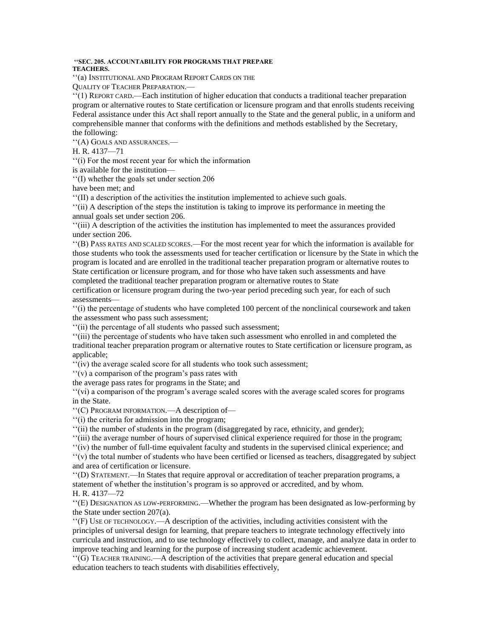## **''SEC. 205. ACCOUNTABILITY FOR PROGRAMS THAT PREPARE TEACHERS.**

''(a) INSTITUTIONAL AND PROGRAM REPORT CARDS ON THE

QUALITY OF TEACHER PREPARATION.—

''(1) REPORT CARD.—Each institution of higher education that conducts a traditional teacher preparation program or alternative routes to State certification or licensure program and that enrolls students receiving Federal assistance under this Act shall report annually to the State and the general public, in a uniform and comprehensible manner that conforms with the definitions and methods established by the Secretary, the following:

''(A) GOALS AND ASSURANCES.—

H. R. 4137—71

''(i) For the most recent year for which the information

is available for the institution—

''(I) whether the goals set under section 206

have been met; and

''(II) a description of the activities the institution implemented to achieve such goals.

''(ii) A description of the steps the institution is taking to improve its performance in meeting the annual goals set under section 206.

''(iii) A description of the activities the institution has implemented to meet the assurances provided under section 206.

''(B) PASS RATES AND SCALED SCORES.—For the most recent year for which the information is available for those students who took the assessments used for teacher certification or licensure by the State in which the program is located and are enrolled in the traditional teacher preparation program or alternative routes to State certification or licensure program, and for those who have taken such assessments and have completed the traditional teacher preparation program or alternative routes to State

certification or licensure program during the two-year period preceding such year, for each of such assessments—

''(i) the percentage of students who have completed 100 percent of the nonclinical coursework and taken the assessment who pass such assessment;

''(ii) the percentage of all students who passed such assessment;

''(iii) the percentage of students who have taken such assessment who enrolled in and completed the traditional teacher preparation program or alternative routes to State certification or licensure program, as applicable;

''(iv) the average scaled score for all students who took such assessment;

''(v) a comparison of the program's pass rates with

the average pass rates for programs in the State; and

''(vi) a comparison of the program's average scaled scores with the average scaled scores for programs in the State.

''(C) PROGRAM INFORMATION.—A description of—

''(i) the criteria for admission into the program;

''(ii) the number of students in the program (disaggregated by race, ethnicity, and gender);

''(iii) the average number of hours of supervised clinical experience required for those in the program;

''(iv) the number of full-time equivalent faculty and students in the supervised clinical experience; and

''(v) the total number of students who have been certified or licensed as teachers, disaggregated by subject and area of certification or licensure.

''(D) STATEMENT.—In States that require approval or accreditation of teacher preparation programs, a statement of whether the institution's program is so approved or accredited, and by whom. H. R. 4137—72

''(E) DESIGNATION AS LOW-PERFORMING.—Whether the program has been designated as low-performing by the State under section 207(a).

''(F) USE OF TECHNOLOGY.—A description of the activities, including activities consistent with the principles of universal design for learning, that prepare teachers to integrate technology effectively into curricula and instruction, and to use technology effectively to collect, manage, and analyze data in order to improve teaching and learning for the purpose of increasing student academic achievement.

''(G) TEACHER TRAINING.—A description of the activities that prepare general education and special education teachers to teach students with disabilities effectively,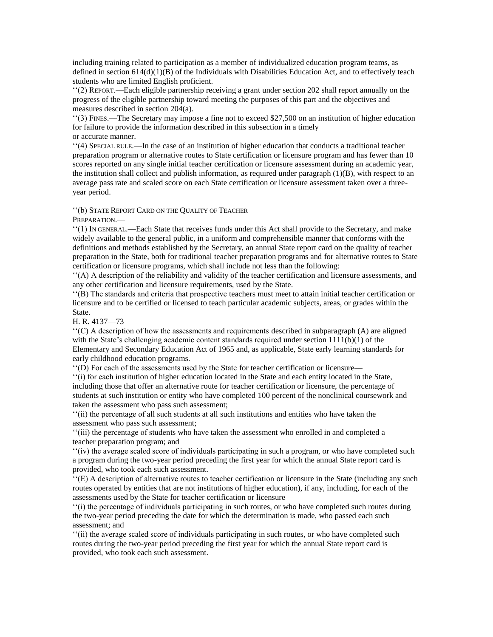including training related to participation as a member of individualized education program teams, as defined in section 614(d)(1)(B) of the Individuals with Disabilities Education Act, and to effectively teach students who are limited English proficient.

''(2) REPORT.—Each eligible partnership receiving a grant under section 202 shall report annually on the progress of the eligible partnership toward meeting the purposes of this part and the objectives and measures described in section 204(a).

''(3) FINES.—The Secretary may impose a fine not to exceed \$27,500 on an institution of higher education for failure to provide the information described in this subsection in a timely or accurate manner.

''(4) SPECIAL RULE.—In the case of an institution of higher education that conducts a traditional teacher preparation program or alternative routes to State certification or licensure program and has fewer than 10 scores reported on any single initial teacher certification or licensure assessment during an academic year, the institution shall collect and publish information, as required under paragraph  $(1)(B)$ , with respect to an average pass rate and scaled score on each State certification or licensure assessment taken over a threeyear period.

''(b) STATE REPORT CARD ON THE QUALITY OF TEACHER

PREPARATION.—

''(1) IN GENERAL.—Each State that receives funds under this Act shall provide to the Secretary, and make widely available to the general public, in a uniform and comprehensible manner that conforms with the definitions and methods established by the Secretary, an annual State report card on the quality of teacher preparation in the State, both for traditional teacher preparation programs and for alternative routes to State certification or licensure programs, which shall include not less than the following:

''(A) A description of the reliability and validity of the teacher certification and licensure assessments, and any other certification and licensure requirements, used by the State.

''(B) The standards and criteria that prospective teachers must meet to attain initial teacher certification or licensure and to be certified or licensed to teach particular academic subjects, areas, or grades within the State.

H. R. 4137—73

''(C) A description of how the assessments and requirements described in subparagraph (A) are aligned with the State's challenging academic content standards required under section  $1111(b)(1)$  of the Elementary and Secondary Education Act of 1965 and, as applicable, State early learning standards for early childhood education programs.

''(D) For each of the assessments used by the State for teacher certification or licensure—

''(i) for each institution of higher education located in the State and each entity located in the State, including those that offer an alternative route for teacher certification or licensure, the percentage of students at such institution or entity who have completed 100 percent of the nonclinical coursework and taken the assessment who pass such assessment;

''(ii) the percentage of all such students at all such institutions and entities who have taken the assessment who pass such assessment;

''(iii) the percentage of students who have taken the assessment who enrolled in and completed a teacher preparation program; and

''(iv) the average scaled score of individuals participating in such a program, or who have completed such a program during the two-year period preceding the first year for which the annual State report card is provided, who took each such assessment.

''(E) A description of alternative routes to teacher certification or licensure in the State (including any such routes operated by entities that are not institutions of higher education), if any, including, for each of the assessments used by the State for teacher certification or licensure—

''(i) the percentage of individuals participating in such routes, or who have completed such routes during the two-year period preceding the date for which the determination is made, who passed each such assessment; and

''(ii) the average scaled score of individuals participating in such routes, or who have completed such routes during the two-year period preceding the first year for which the annual State report card is provided, who took each such assessment.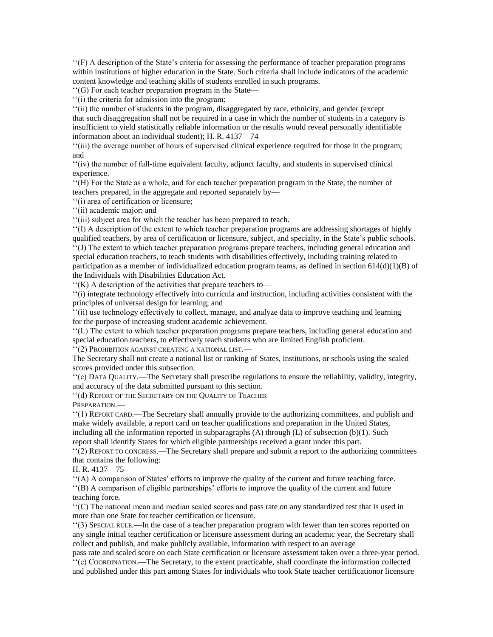''(F) A description of the State's criteria for assessing the performance of teacher preparation programs within institutions of higher education in the State. Such criteria shall include indicators of the academic content knowledge and teaching skills of students enrolled in such programs.

''(G) For each teacher preparation program in the State—

''(i) the criteria for admission into the program;

''(ii) the number of students in the program, disaggregated by race, ethnicity, and gender (except that such disaggregation shall not be required in a case in which the number of students in a category is insufficient to yield statistically reliable information or the results would reveal personally identifiable information about an individual student); H. R. 4137—74

''(iii) the average number of hours of supervised clinical experience required for those in the program; and

''(iv) the number of full-time equivalent faculty, adjunct faculty, and students in supervised clinical experience.

''(H) For the State as a whole, and for each teacher preparation program in the State, the number of teachers prepared, in the aggregate and reported separately by—

''(i) area of certification or licensure;

''(ii) academic major; and

''(iii) subject area for which the teacher has been prepared to teach.

''(I) A description of the extent to which teacher preparation programs are addressing shortages of highly qualified teachers, by area of certification or licensure, subject, and specialty, in the State's public schools. ''(J) The extent to which teacher preparation programs prepare teachers, including general education and special education teachers, to teach students with disabilities effectively, including training related to participation as a member of individualized education program teams, as defined in section 614(d)(1)(B) of the Individuals with Disabilities Education Act.

''(K) A description of the activities that prepare teachers to—

''(i) integrate technology effectively into curricula and instruction, including activities consistent with the principles of universal design for learning; and

''(ii) use technology effectively to collect, manage, and analyze data to improve teaching and learning for the purpose of increasing student academic achievement.

''(L) The extent to which teacher preparation programs prepare teachers, including general education and special education teachers, to effectively teach students who are limited English proficient.

''(2) PROHIBITION AGAINST CREATING A NATIONAL LIST.—

The Secretary shall not create a national list or ranking of States, institutions, or schools using the scaled scores provided under this subsection.

''(c) DATA QUALITY.—The Secretary shall prescribe regulations to ensure the reliability, validity, integrity, and accuracy of the data submitted pursuant to this section.

''(d) REPORT OF THE SECRETARY ON THE QUALITY OF TEACHER

PREPARATION.—

''(1) REPORT CARD.—The Secretary shall annually provide to the authorizing committees, and publish and make widely available, a report card on teacher qualifications and preparation in the United States, including all the information reported in subparagraphs (A) through (L) of subsection (b)(1). Such report shall identify States for which eligible partnerships received a grant under this part.

''(2) REPORT TO CONGRESS.—The Secretary shall prepare and submit a report to the authorizing committees that contains the following:

H. R. 4137—75

''(A) A comparison of States' efforts to improve the quality of the current and future teaching force.

''(B) A comparison of eligible partnerships' efforts to improve the quality of the current and future teaching force.

''(C) The national mean and median scaled scores and pass rate on any standardized test that is used in more than one State for teacher certification or licensure.

''(3) SPECIAL RULE.—In the case of a teacher preparation program with fewer than ten scores reported on any single initial teacher certification or licensure assessment during an academic year, the Secretary shall collect and publish, and make publicly available, information with respect to an average

pass rate and scaled score on each State certification or licensure assessment taken over a three-year period.  $\cdot$ <sup>(e)</sup>(e) COORDINATION.—The Secretary, to the extent practicable, shall coordinate the information collected and published under this part among States for individuals who took State teacher certificationor licensure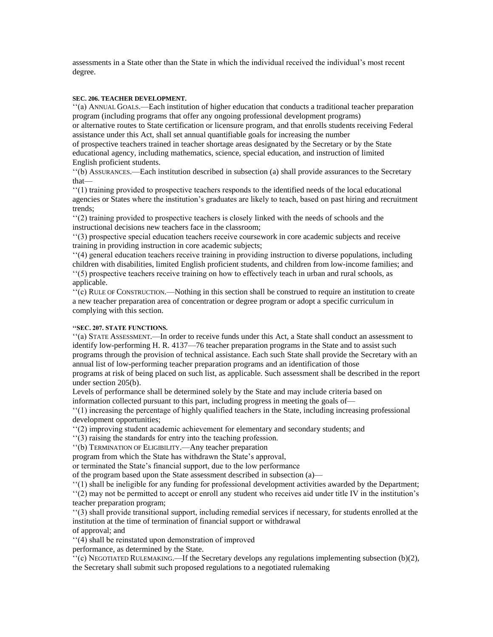assessments in a State other than the State in which the individual received the individual's most recent degree.

## **SEC. 206. TEACHER DEVELOPMENT.**

''(a) ANNUAL GOALS.—Each institution of higher education that conducts a traditional teacher preparation program (including programs that offer any ongoing professional development programs)

or alternative routes to State certification or licensure program, and that enrolls students receiving Federal assistance under this Act, shall set annual quantifiable goals for increasing the number

of prospective teachers trained in teacher shortage areas designated by the Secretary or by the State educational agency, including mathematics, science, special education, and instruction of limited English proficient students.

''(b) ASSURANCES.—Each institution described in subsection (a) shall provide assurances to the Secretary that—

''(1) training provided to prospective teachers responds to the identified needs of the local educational agencies or States where the institution's graduates are likely to teach, based on past hiring and recruitment trends;

''(2) training provided to prospective teachers is closely linked with the needs of schools and the instructional decisions new teachers face in the classroom;

''(3) prospective special education teachers receive coursework in core academic subjects and receive training in providing instruction in core academic subjects;

''(4) general education teachers receive training in providing instruction to diverse populations, including children with disabilities, limited English proficient students, and children from low-income families; and ''(5) prospective teachers receive training on how to effectively teach in urban and rural schools, as applicable.

''(c) RULE OF CONSTRUCTION.—Nothing in this section shall be construed to require an institution to create a new teacher preparation area of concentration or degree program or adopt a specific curriculum in complying with this section.

## **''SEC. 207. STATE FUNCTIONS.**

''(a) STATE ASSESSMENT.—In order to receive funds under this Act, a State shall conduct an assessment to identify low-performing H. R. 4137—76 teacher preparation programs in the State and to assist such programs through the provision of technical assistance. Each such State shall provide the Secretary with an annual list of low-performing teacher preparation programs and an identification of those

programs at risk of being placed on such list, as applicable. Such assessment shall be described in the report under section 205(b).

Levels of performance shall be determined solely by the State and may include criteria based on information collected pursuant to this part, including progress in meeting the goals of—

''(1) increasing the percentage of highly qualified teachers in the State, including increasing professional development opportunities;

''(2) improving student academic achievement for elementary and secondary students; and

''(3) raising the standards for entry into the teaching profession.

''(b) TERMINATION OF ELIGIBILITY.—Any teacher preparation

program from which the State has withdrawn the State's approval,

or terminated the State's financial support, due to the low performance

of the program based upon the State assessment described in subsection (a)—

''(1) shall be ineligible for any funding for professional development activities awarded by the Department;

''(2) may not be permitted to accept or enroll any student who receives aid under title IV in the institution's teacher preparation program;

''(3) shall provide transitional support, including remedial services if necessary, for students enrolled at the institution at the time of termination of financial support or withdrawal

of approval; and

''(4) shall be reinstated upon demonstration of improved

performance, as determined by the State.

''(c) NEGOTIATED RULEMAKING.—If the Secretary develops any regulations implementing subsection (b)(2), the Secretary shall submit such proposed regulations to a negotiated rulemaking